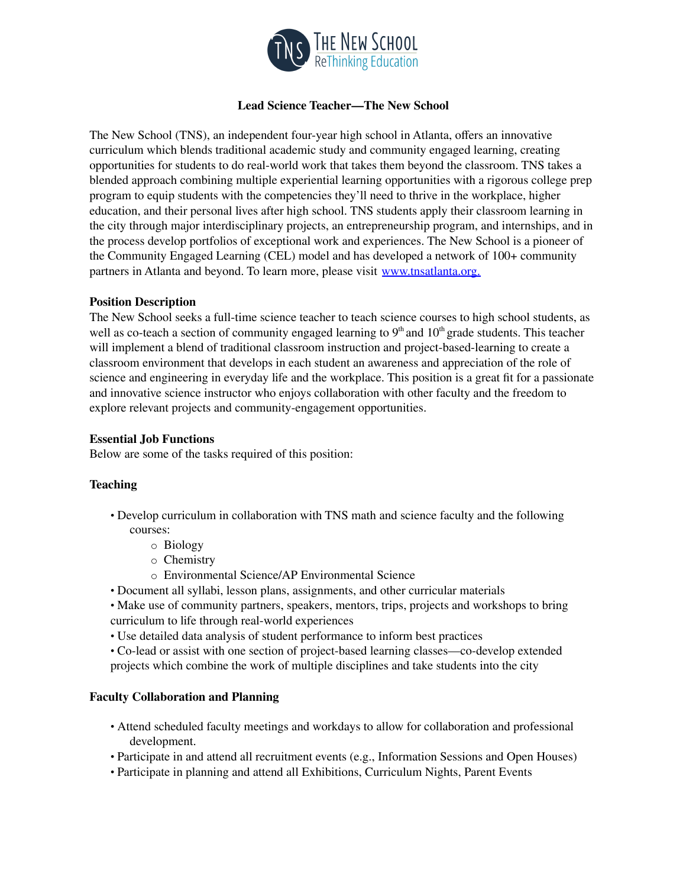

# **Lead Science Teacher—The New School**

The New School (TNS), an independent four-year high school in Atlanta, offers an innovative curriculum which blends traditional academic study and community engaged learning, creating opportunities for students to do real-world work that takes them beyond the classroom. TNS takes a blended approach combining multiple experiential learning opportunities with a rigorous college prep program to equip students with the competencies they'll need to thrive in the workplace, higher education, and their personal lives after high school. TNS students apply their classroom learning in the city through major interdisciplinary projects, an entrepreneurship program, and internships, and in the process develop portfolios of exceptional work and experiences. The New School is a pioneer of the Community Engaged Learning (CEL) model and has developed a network of 100+ community partners in Atlanta and beyond. To learn more, please visit www.tnsatlanta.org.

## **Position Description**

The New School seeks a full-time science teacher to teach science courses to high school students, as well as co-teach a section of community engaged learning to  $9<sup>th</sup>$  and  $10<sup>th</sup>$  grade students. This teacher will implement a blend of traditional classroom instruction and project-based-learning to create a classroom environment that develops in each student an awareness and appreciation of the role of science and engineering in everyday life and the workplace. This position is a great fit for a passionate and innovative science instructor who enjoys collaboration with other faculty and the freedom to explore relevant projects and community-engagement opportunities.

## **Essential Job Functions**

Below are some of the tasks required of this position:

### **Teaching**

- Develop curriculum in collaboration with TNS math and science faculty and the following courses:
	- o Biology
	- o Chemistry
	- o Environmental Science/AP Environmental Science
- Document all syllabi, lesson plans, assignments, and other curricular materials
- Make use of community partners, speakers, mentors, trips, projects and workshops to bring curriculum to life through real-world experiences
- Use detailed data analysis of student performance to inform best practices
- Co-lead or assist with one section of project-based learning classes—co-develop extended projects which combine the work of multiple disciplines and take students into the city

# **Faculty Collaboration and Planning**

- Attend scheduled faculty meetings and workdays to allow for collaboration and professional development.
- Participate in and attend all recruitment events (e.g., Information Sessions and Open Houses)
- Participate in planning and attend all Exhibitions, Curriculum Nights, Parent Events